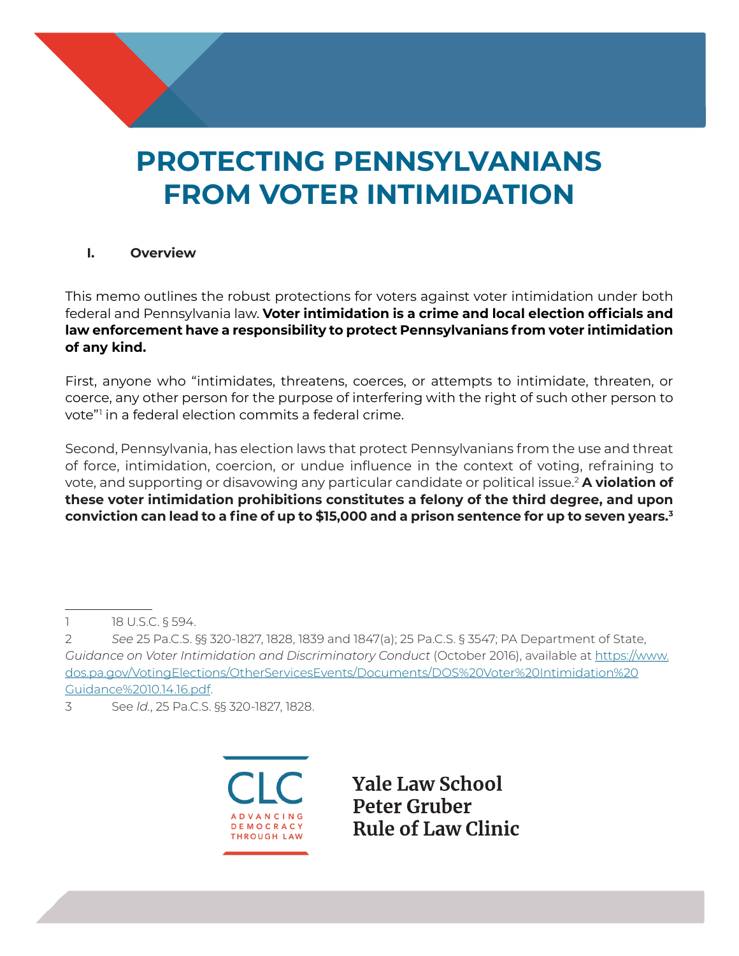# **PROTECTING PENNSYLVANIANS FROM VOTER INTIMIDATION**

## **I. Overview**

This memo outlines the robust protections for voters against voter intimidation under both federal and Pennsylvania law. **Voter intimidation is a crime and local election officials and law enforcement have a responsibility to protect Pennsylvanians from voter intimidation of any kind.**

First, anyone who "intimidates, threatens, coerces, or attempts to intimidate, threaten, or coerce, any other person for the purpose of interfering with the right of such other person to vote"1 in a federal election commits a federal crime.

Second, Pennsylvania, has election laws that protect Pennsylvanians from the use and threat of force, intimidation, coercion, or undue influence in the context of voting, refraining to vote, and supporting or disavowing any particular candidate or political issue.2 **A violation of these voter intimidation prohibitions constitutes a felony of the third degree, and upon conviction can lead to a fine of up to \$15,000 and a prison sentence for up to seven years.<sup>3</sup>**

3 See *ld.*, 25 Pa.C.S. §§ 320-1827, 1828.



**Yale Law School Peter Gruber Rule of Law Clinic** 

<sup>1 18</sup> U.S.C. § 594.

<sup>2</sup> *See* 25 Pa.C.S. §§ 320-1827, 1828, 1839 and 1847(a); 25 Pa.C.S. § 3547; PA Department of State, *Guidance on Voter Intimidation and Discriminatory Conduct* (October 2016), available at https://www. dos.pa.gov/VotingElections/OtherServicesEvents/Documents/DOS%20Voter%20Intimidation%20 Guidance%2010.14.16.pdf.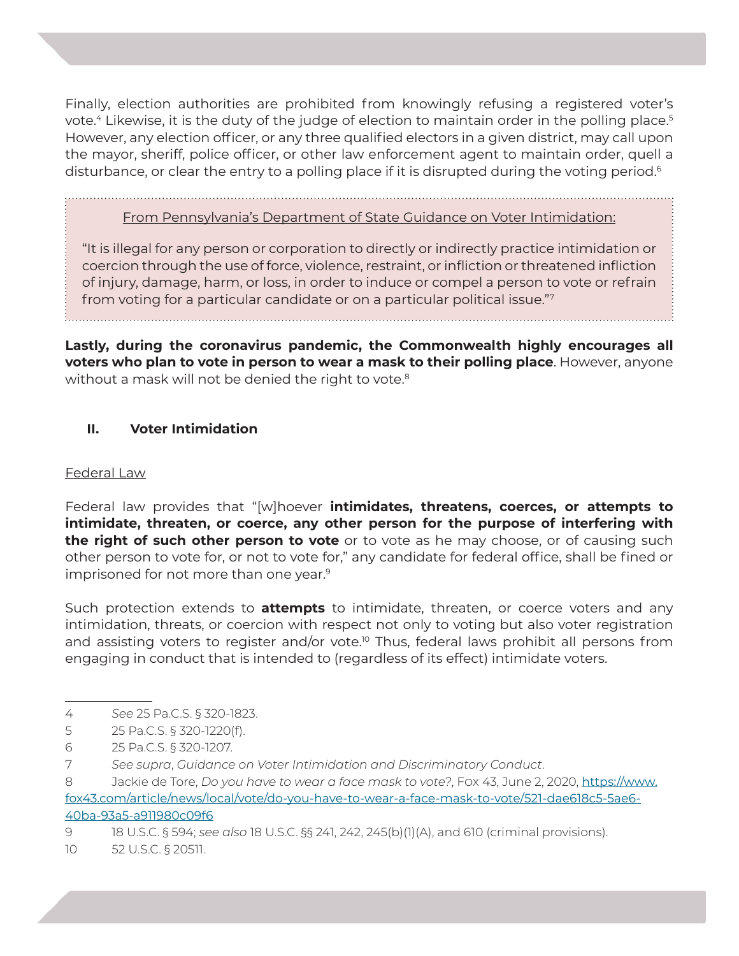Finally, election authorities are prohibited from knowingly refusing a registered voter's vote.<sup>4</sup> Likewise, it is the duty of the judge of election to maintain order in the polling place.<sup>5</sup> However, any election officer, or any three qualified electors in a given district, may call upon the mayor, sheriff, police officer, or other law enforcement agent to maintain order, quell a disturbance, or clear the entry to a polling place if it is disrupted during the voting period.<sup>6</sup>

From Pennsylvania's Department of State Guidance on Voter Intimidation:

"It is illegal for any person or corporation to directly or indirectly practice intimidation or coercion through the use of force, violence, restraint, or infliction or threatened infliction of injury, damage, harm, or loss, in order to induce or compel a person to vote or refrain from voting for a particular candidate or on a particular political issue."7

**Lastly, during the coronavirus pandemic, the Commonwealth highly encourages all voters who plan to vote in person to wear a mask to their polling place**. However, anyone without a mask will not be denied the right to vote.<sup>8</sup>

## **II. Voter Intimidation**

#### Federal Law

Federal law provides that "[w]hoever **intimidates, threatens, coerces, or attempts to intimidate, threaten, or coerce, any other person for the purpose of interfering with the right of such other person to vote** or to vote as he may choose, or of causing such other person to vote for, or not to vote for," any candidate for federal office, shall be fined or imprisoned for not more than one year.<sup>9</sup>

Such protection extends to **attempts** to intimidate, threaten, or coerce voters and any intimidation, threats, or coercion with respect not only to voting but also voter registration and assisting voters to register and/or vote.<sup>10</sup> Thus, federal laws prohibit all persons from engaging in conduct that is intended to (regardless of its effect) intimidate voters.

- 4 *See* 25 Pa.C.S. § 320-1823.
- 5 25 Pa.C.S. § 320-1220(f).

9 18 U.S.C. § 594; *see also* 18 U.S.C. §§ 241, 242, 245(b)(1)(A), and 610 (criminal provisions).

10 52 U.S.C. § 20511.

<sup>6 25</sup> Pa.C.S. § 320-1207.

<sup>7</sup> *See supra*, *Guidance on Voter Intimidation and Discriminatory Conduct*.

<sup>8</sup> Jackie de Tore, *Do you have to wear a face mask to vote?*, Fox 43, June 2, 2020, https://www. fox43.com/article/news/local/vote/do-you-have-to-wear-a-face-mask-to-vote/521-dae618c5-5ae6- 40ba-93a5-a911980c09f6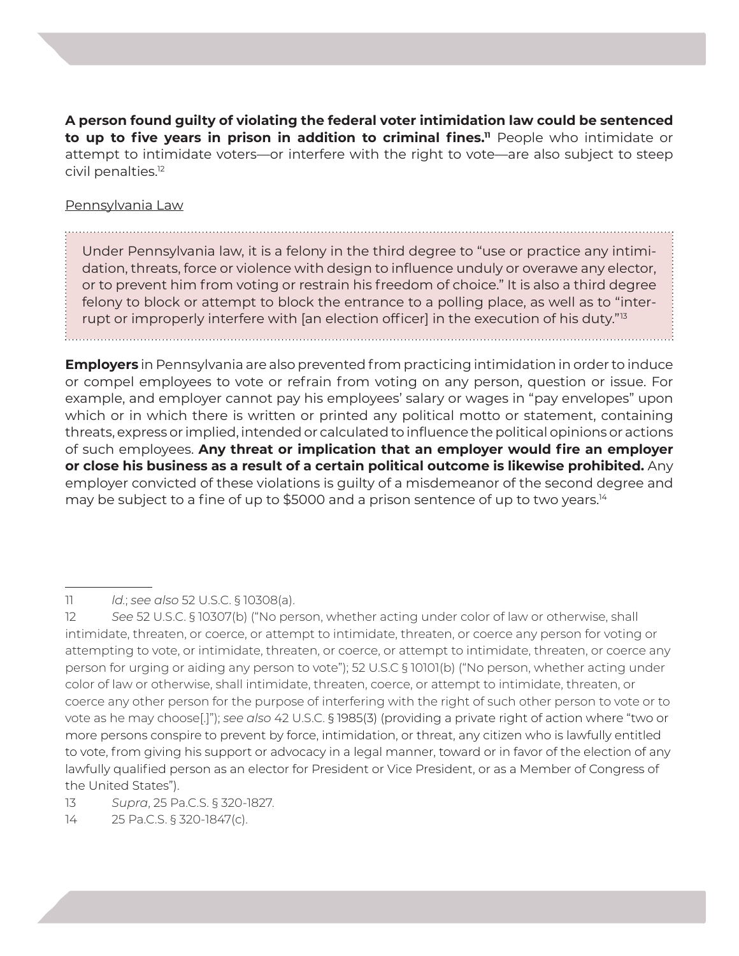**A person found guilty of violating the federal voter intimidation law could be sentenced to up to five years in prison in addition to criminal fines.**<sup>11</sup> People who intimidate or attempt to intimidate voters—or interfere with the right to vote—are also subject to steep civil penalties.12

#### Pennsylvania Law

Under Pennsylvania law, it is a felony in the third degree to "use or practice any intimidation, threats, force or violence with design to influence unduly or overawe any elector, or to prevent him from voting or restrain his freedom of choice." It is also a third degree felony to block or attempt to block the entrance to a polling place, as well as to "interrupt or improperly interfere with [an election officer] in the execution of his duty."<sup>13</sup>

**Employers** in Pennsylvania are also prevented from practicing intimidation in order to induce or compel employees to vote or refrain from voting on any person, question or issue. For example, and employer cannot pay his employees' salary or wages in "pay envelopes" upon which or in which there is written or printed any political motto or statement, containing threats, express or implied, intended or calculated to influence the political opinions or actions of such employees. **Any threat or implication that an employer would fire an employer or close his business as a result of a certain political outcome is likewise prohibited.** Any employer convicted of these violations is guilty of a misdemeanor of the second degree and may be subject to a fine of up to \$5000 and a prison sentence of up to two years.<sup>14</sup>

<sup>11</sup> *ld.*; *see also* 52 U.S.C. § 10308(a).

<sup>12</sup> *See* 52 U.S.C. § 10307(b) ("No person, whether acting under color of law or otherwise, shall intimidate, threaten, or coerce, or attempt to intimidate, threaten, or coerce any person for voting or attempting to vote, or intimidate, threaten, or coerce, or attempt to intimidate, threaten, or coerce any person for urging or aiding any person to vote"); 52 U.S.C § 10101(b) ("No person, whether acting under color of law or otherwise, shall intimidate, threaten, coerce, or attempt to intimidate, threaten, or coerce any other person for the purpose of interfering with the right of such other person to vote or to vote as he may choose[.]"); *see also* 42 U.S.C. § 1985(3) (providing a private right of action where "two or more persons conspire to prevent by force, intimidation, or threat, any citizen who is lawfully entitled to vote, from giving his support or advocacy in a legal manner, toward or in favor of the election of any lawfully qualified person as an elector for President or Vice President, or as a Member of Congress of the United States").

<sup>13</sup> *Supra*, 25 Pa.C.S. § 320-1827.

<sup>14 25</sup> Pa.C.S. § 320-1847(c).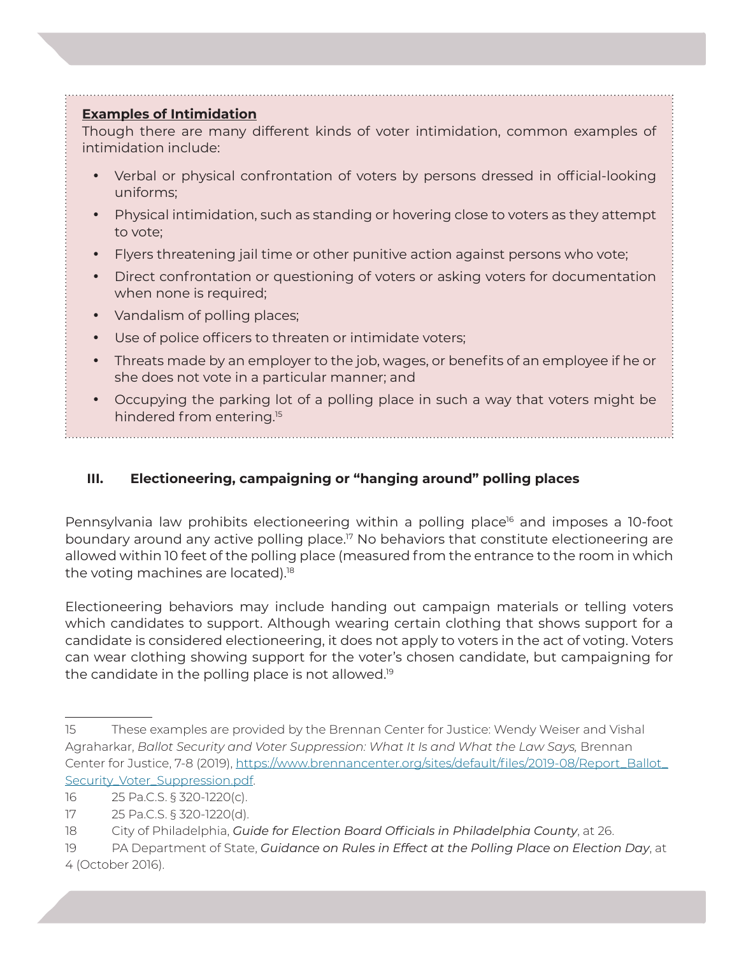#### **Examples of Intimidation**

Though there are many different kinds of voter intimidation, common examples of intimidation include:

- Verbal or physical confrontation of voters by persons dressed in official-looking uniforms;
- Physical intimidation, such as standing or hovering close to voters as they attempt to vote;
- Flyers threatening jail time or other punitive action against persons who vote;
- Direct confrontation or questioning of voters or asking voters for documentation when none is required;
- Vandalism of polling places;
- Use of police officers to threaten or intimidate voters;
- Threats made by an employer to the job, wages, or benefits of an employee if he or she does not vote in a particular manner; and
- Occupying the parking lot of a polling place in such a way that voters might be hindered from entering.<sup>15</sup>

# **III. Electioneering, campaigning or "hanging around" polling places**

Pennsylvania law prohibits electioneering within a polling place<sup>16</sup> and imposes a 10-foot boundary around any active polling place.17 No behaviors that constitute electioneering are allowed within 10 feet of the polling place (measured from the entrance to the room in which the voting machines are located).<sup>18</sup>

Electioneering behaviors may include handing out campaign materials or telling voters which candidates to support. Although wearing certain clothing that shows support for a candidate is considered electioneering, it does not apply to voters in the act of voting. Voters can wear clothing showing support for the voter's chosen candidate, but campaigning for the candidate in the polling place is not allowed.19

<sup>15</sup> These examples are provided by the Brennan Center for Justice: Wendy Weiser and Vishal Agraharkar, *Ballot Security and Voter Suppression: What It Is and What the Law Says,* Brennan Center for Justice, 7-8 (2019), https://www.brennancenter.org/sites/default/files/2019-08/Report\_Ballot\_ Security\_Voter\_Suppression.pdf.

<sup>16 25</sup> Pa.C.S. § 320-1220(c).

<sup>17 25</sup> Pa.C.S. § 320-1220(d).

<sup>18</sup> City of Philadelphia, *Guide for Election Board Officials in Philadelphia County*, at 26.

<sup>19</sup> PA Department of State, *Guidance on Rules in Effect at the Polling Place on Election Day*, at 4 (October 2016).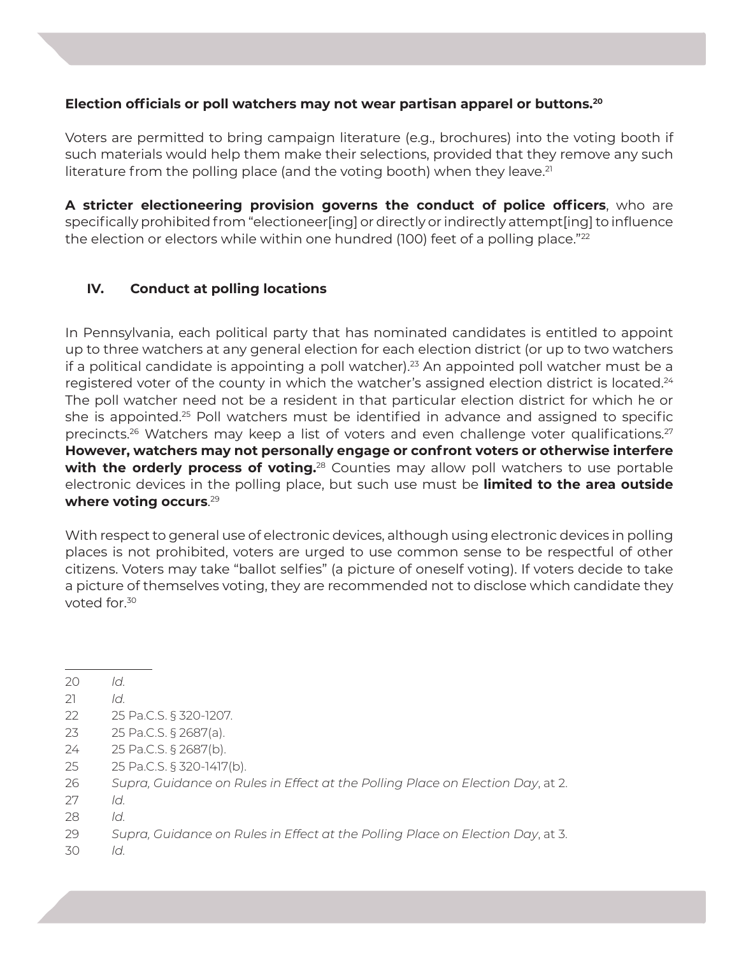## **Election officials or poll watchers may not wear partisan apparel or buttons.20**

Voters are permitted to bring campaign literature (e.g., brochures) into the voting booth if such materials would help them make their selections, provided that they remove any such literature from the polling place (and the voting booth) when they leave.<sup>21</sup>

**A stricter electioneering provision governs the conduct of police officers**, who are specifically prohibited from "electioneer[ing] or directly or indirectly attempt[ing] to influence the election or electors while within one hundred (100) feet of a polling place."<sup>22</sup>

# **IV. Conduct at polling locations**

In Pennsylvania, each political party that has nominated candidates is entitled to appoint up to three watchers at any general election for each election district (or up to two watchers if a political candidate is appointing a poll watcher).<sup>23</sup> An appointed poll watcher must be a registered voter of the county in which the watcher's assigned election district is located.<sup>24</sup> The poll watcher need not be a resident in that particular election district for which he or she is appointed.<sup>25</sup> Poll watchers must be identified in advance and assigned to specific precincts.<sup>26</sup> Watchers may keep a list of voters and even challenge voter qualifications.<sup>27</sup> **However, watchers may not personally engage or confront voters or otherwise interfere with the orderly process of voting.**<sup>28</sup> Counties may allow poll watchers to use portable electronic devices in the polling place, but such use must be **limited to the area outside where voting occurs**. 29

With respect to general use of electronic devices, although using electronic devices in polling places is not prohibited, voters are urged to use common sense to be respectful of other citizens. Voters may take "ballot selfies" (a picture of oneself voting). If voters decide to take a picture of themselves voting, they are recommended not to disclose which candidate they voted for.<sup>30</sup>

- 21 *ld.*
- 22 25 Pa.C.S. § 320-1207.
- 23 25 Pa.C.S. § 2687(a).
- 24 25 Pa.C.S. § 2687(b).
- 25 25 Pa.C.S. § 320-1417(b).
- 26 *Supra, Guidance on Rules in Effect at the Polling Place on Election Day*, at 2.
- 27 *ld.*
- 28 *ld.*
- 29 *Supra, Guidance on Rules in Effect at the Polling Place on Election Day*, at 3.
- 30 *ld.*

<sup>20</sup> *ld.*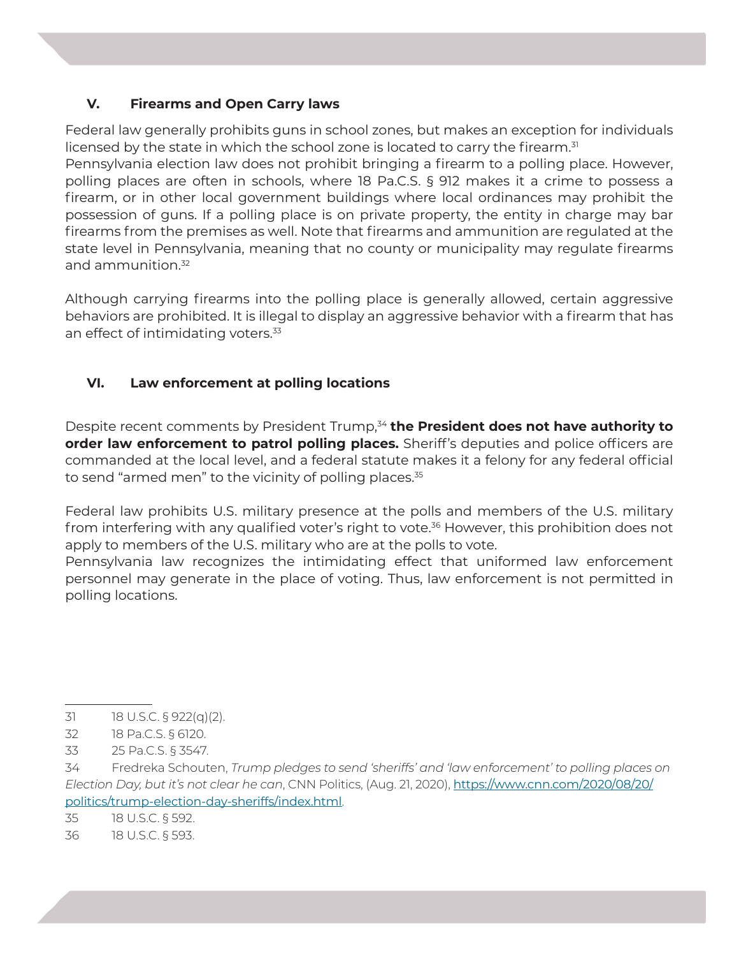## **V. Firearms and Open Carry laws**

Federal law generally prohibits guns in school zones, but makes an exception for individuals licensed by the state in which the school zone is located to carry the firearm.<sup>31</sup>

Pennsylvania election law does not prohibit bringing a firearm to a polling place. However, polling places are often in schools, where 18 Pa.C.S. § 912 makes it a crime to possess a firearm, or in other local government buildings where local ordinances may prohibit the possession of guns. If a polling place is on private property, the entity in charge may bar firearms from the premises as well. Note that firearms and ammunition are regulated at the state level in Pennsylvania, meaning that no county or municipality may regulate firearms and ammunition.<sup>32</sup>

Although carrying firearms into the polling place is generally allowed, certain aggressive behaviors are prohibited. It is illegal to display an aggressive behavior with a firearm that has an effect of intimidating voters.<sup>33</sup>

# **VI. Law enforcement at polling locations**

Despite recent comments by President Trump,<sup>34</sup> the President does not have authority to **order law enforcement to patrol polling places.** Sheriff's deputies and police officers are commanded at the local level, and a federal statute makes it a felony for any federal official to send "armed men" to the vicinity of polling places.<sup>35</sup>

Federal law prohibits U.S. military presence at the polls and members of the U.S. military from interfering with any qualified voter's right to vote.<sup>36</sup> However, this prohibition does not apply to members of the U.S. military who are at the polls to vote.

Pennsylvania law recognizes the intimidating effect that uniformed law enforcement personnel may generate in the place of voting. Thus, law enforcement is not permitted in polling locations.

<sup>31 18</sup> U.S.C. § 922(q)(2).

<sup>32 18</sup> Pa.C.S. § 6120.

<sup>33 25</sup> Pa.C.S. § 3547.

<sup>34</sup> Fredreka Schouten, *Trump pledges to send 'sheriffs' and 'law enforcement' to polling places on Election Day, but it's not clear he can*, CNN Politics, (Aug. 21, 2020), https://www.cnn.com/2020/08/20/ politics/trump-election-day-sheriffs/index.html.

<sup>35 18</sup> U.S.C. § 592.

<sup>36 18</sup> U.S.C. § 593.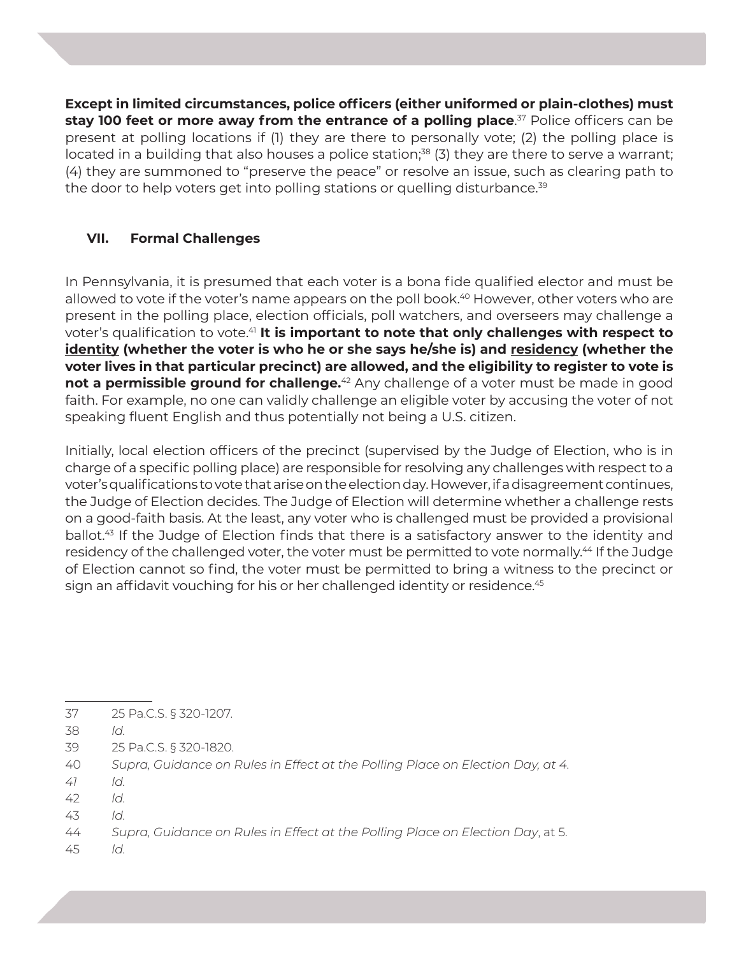**Except in limited circumstances, police officers (either uniformed or plain-clothes) must stay 100 feet or more away from the entrance of a polling place**. 37 Police officers can be present at polling locations if (1) they are there to personally vote; (2) the polling place is located in a building that also houses a police station; $38$  (3) they are there to serve a warrant; (4) they are summoned to "preserve the peace" or resolve an issue, such as clearing path to the door to help voters get into polling stations or quelling disturbance.<sup>39</sup>

# **VII. Formal Challenges**

In Pennsylvania, it is presumed that each voter is a bona fide qualified elector and must be allowed to vote if the voter's name appears on the poll book.<sup>40</sup> However, other voters who are present in the polling place, election officials, poll watchers, and overseers may challenge a voter's qualification to vote.<sup>41</sup> It is important to note that only challenges with respect to **identity (whether the voter is who he or she says he/she is) and residency (whether the voter lives in that particular precinct) are allowed, and the eligibility to register to vote is not a permissible ground for challenge.**<sup>42</sup> Any challenge of a voter must be made in good faith. For example, no one can validly challenge an eligible voter by accusing the voter of not speaking fluent English and thus potentially not being a U.S. citizen.

Initially, local election officers of the precinct (supervised by the Judge of Election, who is in charge of a specific polling place) are responsible for resolving any challenges with respect to a voter's qualifications to vote that arise on the election day. However, if a disagreement continues, the Judge of Election decides. The Judge of Election will determine whether a challenge rests on a good-faith basis. At the least, any voter who is challenged must be provided a provisional ballot.<sup>43</sup> If the Judge of Election finds that there is a satisfactory answer to the identity and residency of the challenged voter, the voter must be permitted to vote normally.<sup>44</sup> If the Judge of Election cannot so find, the voter must be permitted to bring a witness to the precinct or sign an affidavit vouching for his or her challenged identity or residence.<sup>45</sup>

- 37 25 Pa.C.S. § 320-1207.
- 38 *ld.*
- 39 25 Pa.C.S. § 320-1820.
- 40 *Supra, Guidance on Rules in Effect at the Polling Place on Election Day, at 4.*
- *41 ld.*
- 42 *ld.*
- 43 *ld.*
- 44 *Supra, Guidance on Rules in Effect at the Polling Place on Election Day*, at 5.
- 45 *ld.*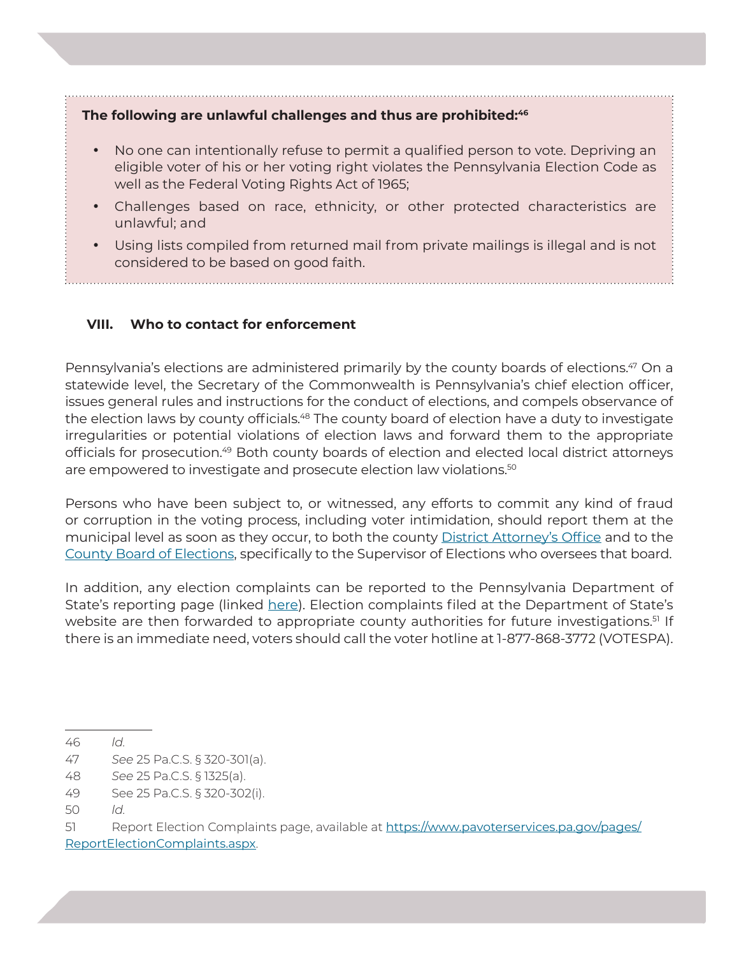## The following are unlawful challenges and thus are prohibited:<sup>46</sup>

- No one can intentionally refuse to permit a qualified person to vote. Depriving an eligible voter of his or her voting right violates the Pennsylvania Election Code as well as the Federal Voting Rights Act of 1965;
- Challenges based on race, ethnicity, or other protected characteristics are unlawful; and
- Using lists compiled from returned mail from private mailings is illegal and is not considered to be based on good faith.

## **VIII. Who to contact for enforcement**

Pennsylvania's elections are administered primarily by the county boards of elections.<sup>47</sup> On a statewide level, the Secretary of the Commonwealth is Pennsylvania's chief election officer, issues general rules and instructions for the conduct of elections, and compels observance of the election laws by county officials.<sup>48</sup> The county board of election have a duty to investigate irregularities or potential violations of election laws and forward them to the appropriate officials for prosecution.49 Both county boards of election and elected local district attorneys are empowered to investigate and prosecute election law violations.<sup>50</sup>

Persons who have been subject to, or witnessed, any efforts to commit any kind of fraud or corruption in the voting process, including voter intimidation, should report them at the municipal level as soon as they occur, to both the county District Attorney's Office and to the County Board of Elections, specifically to the Supervisor of Elections who oversees that board.

In addition, any election complaints can be reported to the Pennsylvania Department of State's reporting page (linked here). Election complaints filed at the Department of State's website are then forwarded to appropriate county authorities for future investigations.<sup>51</sup> If there is an immediate need, voters should call the voter hotline at 1-877-868-3772 (VOTESPA).

51 Report Election Complaints page, available at https://www.pavoterservices.pa.gov/pages/ ReportElectionComplaints.aspx.

<sup>46</sup> *ld.*

<sup>47</sup> *See* 25 Pa.C.S. § 320-301(a).

<sup>48</sup> *See* 25 Pa.C.S. § 1325(a).

<sup>49</sup> See 25 Pa.C.S. § 320-302(i).

<sup>50</sup> *ld.*